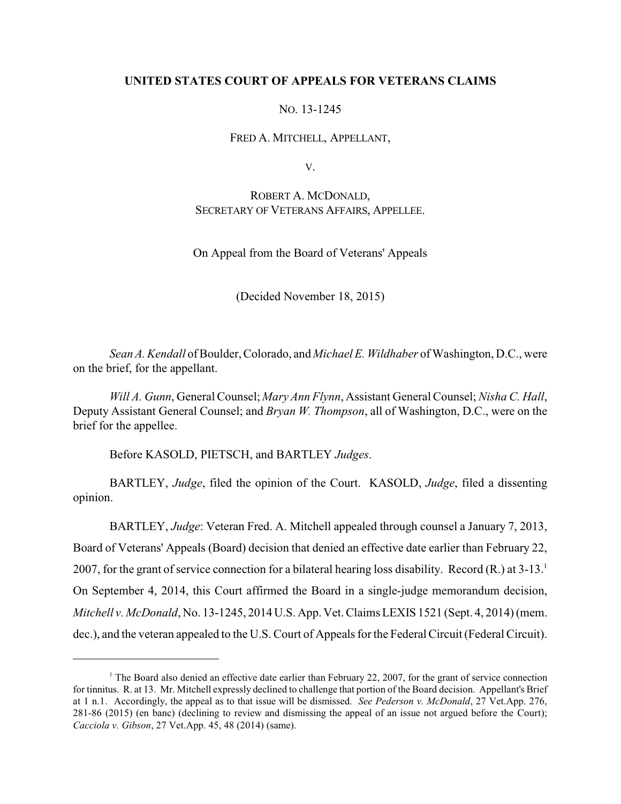## **UNITED STATES COURT OF APPEALS FOR VETERANS CLAIMS**

## NO. 13-1245

FRED A. MITCHELL, APPELLANT,

V.

ROBERT A. MCDONALD, SECRETARY OF VETERANS AFFAIRS, APPELLEE.

On Appeal from the Board of Veterans' Appeals

(Decided November 18, 2015)

*Sean A. Kendall* of Boulder, Colorado, and *Michael E. Wildhaber* of Washington, D.C., were on the brief, for the appellant.

*Will A. Gunn*, General Counsel; *Mary Ann Flynn*, Assistant General Counsel; *Nisha C. Hall*, Deputy Assistant General Counsel; and *Bryan W. Thompson*, all of Washington, D.C., were on the brief for the appellee.

Before KASOLD, PIETSCH, and BARTLEY *Judges*.

BARTLEY, *Judge*, filed the opinion of the Court. KASOLD, *Judge*, filed a dissenting opinion.

BARTLEY, *Judge*: Veteran Fred. A. Mitchell appealed through counsel a January 7, 2013, Board of Veterans' Appeals (Board) decision that denied an effective date earlier than February 22, 2007, for the grant of service connection for a bilateral hearing loss disability. Record  $(R<sub>1</sub>)$  at  $3-13<sup>1</sup>$ On September 4, 2014, this Court affirmed the Board in a single-judge memorandum decision, *Mitchell v. McDonald*, No. 13-1245, 2014 U.S. App. Vet. Claims LEXIS 1521 (Sept. 4, 2014) (mem. dec.), and the veteran appealed to the U.S. Court of Appeals for the Federal Circuit (Federal Circuit).

<sup>&</sup>lt;sup>1</sup> The Board also denied an effective date earlier than February 22, 2007, for the grant of service connection for tinnitus. R. at 13. Mr. Mitchell expressly declined to challenge that portion of the Board decision. Appellant's Brief at 1 n.1. Accordingly, the appeal as to that issue will be dismissed. *See Pederson v. McDonald*, 27 Vet.App. 276, 281-86 (2015) (en banc) (declining to review and dismissing the appeal of an issue not argued before the Court); *Cacciola v. Gibson*, 27 Vet.App. 45, 48 (2014) (same).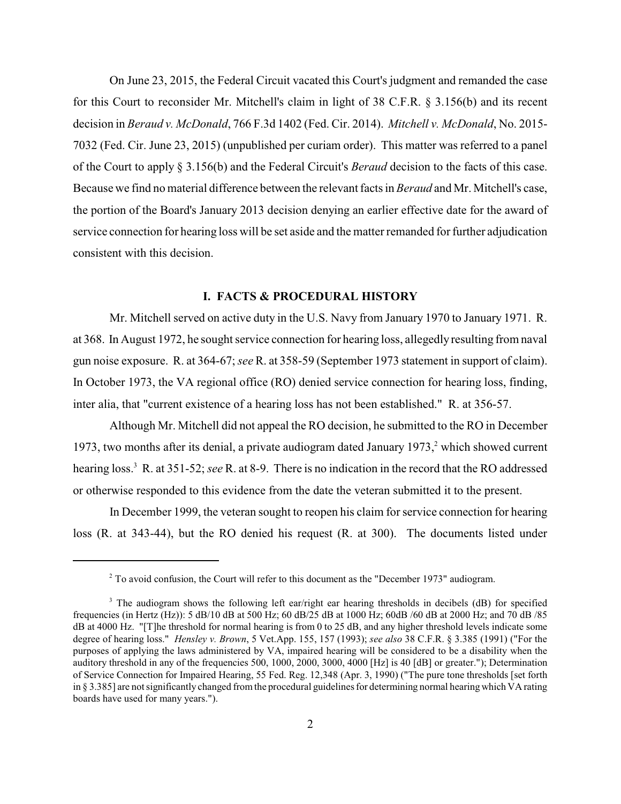On June 23, 2015, the Federal Circuit vacated this Court's judgment and remanded the case for this Court to reconsider Mr. Mitchell's claim in light of 38 C.F.R. § 3.156(b) and its recent decision in *Beraud v. McDonald*, 766 F.3d 1402 (Fed. Cir. 2014). *Mitchell v. McDonald*, No. 2015- 7032 (Fed. Cir. June 23, 2015) (unpublished per curiam order). This matter was referred to a panel of the Court to apply § 3.156(b) and the Federal Circuit's *Beraud* decision to the facts of this case. Because we find no material difference between the relevant facts in *Beraud* and Mr. Mitchell's case, the portion of the Board's January 2013 decision denying an earlier effective date for the award of service connection for hearing loss will be set aside and the matter remanded for further adjudication consistent with this decision.

## **I. FACTS & PROCEDURAL HISTORY**

Mr. Mitchell served on active duty in the U.S. Navy from January 1970 to January 1971. R. at 368. In August 1972, he sought service connection for hearing loss, allegedly resulting from naval gun noise exposure. R. at 364-67; *see* R. at 358-59 (September 1973 statement in support of claim). In October 1973, the VA regional office (RO) denied service connection for hearing loss, finding, inter alia, that "current existence of a hearing loss has not been established." R. at 356-57.

Although Mr. Mitchell did not appeal the RO decision, he submitted to the RO in December 1973, two months after its denial, a private audiogram dated January 1973, which showed current <sup>2</sup> hearing loss.<sup>3</sup> R. at 351-52; *see* R. at 8-9. There is no indication in the record that the RO addressed or otherwise responded to this evidence from the date the veteran submitted it to the present.

In December 1999, the veteran sought to reopen his claim for service connection for hearing loss (R. at 343-44), but the RO denied his request (R. at 300). The documents listed under

 $2$  To avoid confusion, the Court will refer to this document as the "December 1973" audiogram.

<sup>&</sup>lt;sup>3</sup> The audiogram shows the following left ear/right ear hearing thresholds in decibels (dB) for specified frequencies (in Hertz (Hz)): 5 dB/10 dB at 500 Hz; 60 dB/25 dB at 1000 Hz; 60dB /60 dB at 2000 Hz; and 70 dB /85 dB at 4000 Hz. "[T]he threshold for normal hearing is from 0 to 25 dB, and any higher threshold levels indicate some degree of hearing loss." *Hensley v. Brown*, 5 Vet.App. 155, 157 (1993); *see also* 38 C.F.R. § 3.385 (1991) ("For the purposes of applying the laws administered by VA, impaired hearing will be considered to be a disability when the auditory threshold in any of the frequencies 500, 1000, 2000, 3000, 4000 [Hz] is 40 [dB] or greater."); Determination of Service Connection for Impaired Hearing, 55 Fed. Reg. 12,348 (Apr. 3, 1990) ("The pure tone thresholds [set forth in § 3.385] are not significantly changed fromthe procedural guidelines for determining normal hearing which VA rating boards have used for many years.").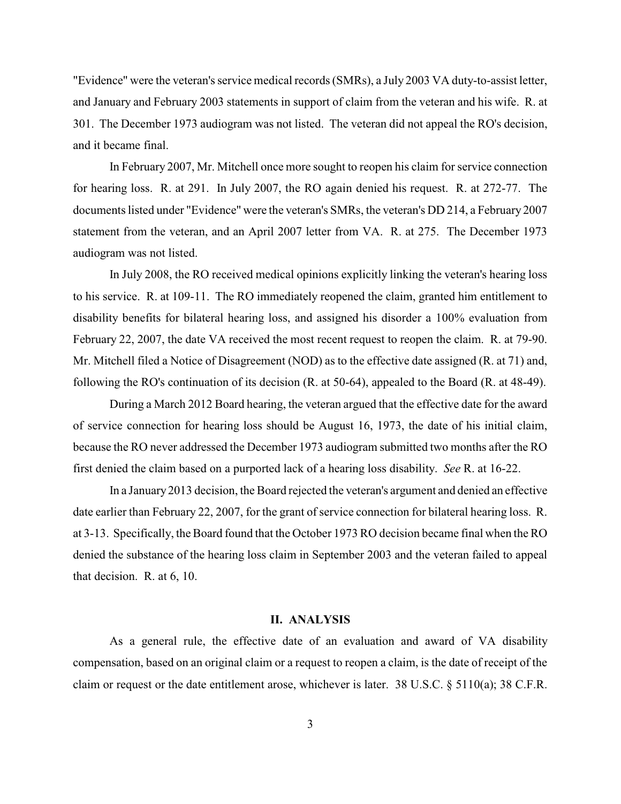"Evidence" were the veteran's service medical records (SMRs), a July 2003 VA duty-to-assist letter, and January and February 2003 statements in support of claim from the veteran and his wife. R. at 301. The December 1973 audiogram was not listed. The veteran did not appeal the RO's decision, and it became final.

In February 2007, Mr. Mitchell once more sought to reopen his claim for service connection for hearing loss. R. at 291. In July 2007, the RO again denied his request. R. at 272-77. The documents listed under "Evidence" were the veteran's SMRs, the veteran's DD 214, a February 2007 statement from the veteran, and an April 2007 letter from VA. R. at 275. The December 1973 audiogram was not listed.

In July 2008, the RO received medical opinions explicitly linking the veteran's hearing loss to his service. R. at 109-11. The RO immediately reopened the claim, granted him entitlement to disability benefits for bilateral hearing loss, and assigned his disorder a 100% evaluation from February 22, 2007, the date VA received the most recent request to reopen the claim. R. at 79-90. Mr. Mitchell filed a Notice of Disagreement (NOD) as to the effective date assigned (R. at 71) and, following the RO's continuation of its decision (R. at 50-64), appealed to the Board (R. at 48-49).

During a March 2012 Board hearing, the veteran argued that the effective date for the award of service connection for hearing loss should be August 16, 1973, the date of his initial claim, because the RO never addressed the December 1973 audiogram submitted two months after the RO first denied the claim based on a purported lack of a hearing loss disability. *See* R. at 16-22.

In a January2013 decision, the Board rejected the veteran's argument and denied an effective date earlier than February 22, 2007, for the grant of service connection for bilateral hearing loss. R. at 3-13. Specifically, the Board found that the October 1973 RO decision became final when the RO denied the substance of the hearing loss claim in September 2003 and the veteran failed to appeal that decision. R. at 6, 10.

#### **II. ANALYSIS**

As a general rule, the effective date of an evaluation and award of VA disability compensation, based on an original claim or a request to reopen a claim, is the date of receipt of the claim or request or the date entitlement arose, whichever is later. 38 U.S.C. § 5110(a); 38 C.F.R.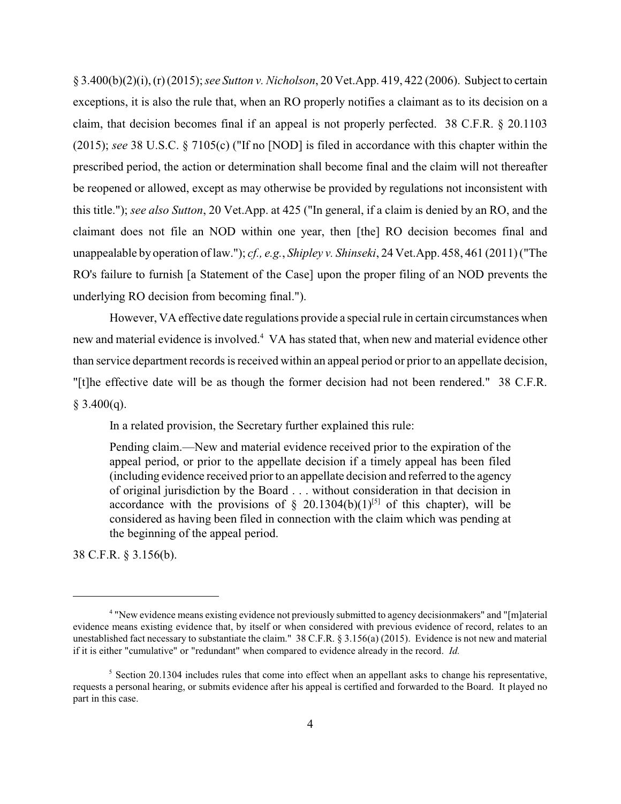§ 3.400(b)(2)(i), (r)(2015); *see Sutton v. Nicholson*, 20 Vet.App. 419, 422 (2006). Subject to certain exceptions, it is also the rule that, when an RO properly notifies a claimant as to its decision on a claim, that decision becomes final if an appeal is not properly perfected. 38 C.F.R. § 20.1103 (2015); *see* 38 U.S.C. § 7105(c) ("If no [NOD] is filed in accordance with this chapter within the prescribed period, the action or determination shall become final and the claim will not thereafter be reopened or allowed, except as may otherwise be provided by regulations not inconsistent with this title."); *see also Sutton*, 20 Vet.App. at 425 ("In general, if a claim is denied by an RO, and the claimant does not file an NOD within one year, then [the] RO decision becomes final and unappealable by operation of law."); *cf., e.g.*, *Shipley v. Shinseki*, 24 Vet.App. 458, 461 (2011) ("The RO's failure to furnish [a Statement of the Case] upon the proper filing of an NOD prevents the underlying RO decision from becoming final.").

However, VA effective date regulations provide a special rule in certain circumstances when new and material evidence is involved.<sup>4</sup> VA has stated that, when new and material evidence other than service department records is received within an appeal period or prior to an appellate decision, "[t]he effective date will be as though the former decision had not been rendered." 38 C.F.R.  $§$  3.400(q).

In a related provision, the Secretary further explained this rule:

Pending claim.—New and material evidence received prior to the expiration of the appeal period, or prior to the appellate decision if a timely appeal has been filed (including evidence received prior to an appellate decision and referred to the agency of original jurisdiction by the Board . . . without consideration in that decision in accordance with the provisions of § 20.1304(b)(1)<sup>[5]</sup> of this chapter), will be considered as having been filed in connection with the claim which was pending at the beginning of the appeal period.

38 C.F.R. § 3.156(b).

<sup>&</sup>quot;New evidence means existing evidence not previously submitted to agency decisionmakers" and "[m]aterial <sup>4</sup> evidence means existing evidence that, by itself or when considered with previous evidence of record, relates to an unestablished fact necessary to substantiate the claim." 38 C.F.R. § 3.156(a) (2015). Evidence is not new and material if it is either "cumulative" or "redundant" when compared to evidence already in the record. *Id.* 

 $\frac{1}{5}$  Section 20.1304 includes rules that come into effect when an appellant asks to change his representative, requests a personal hearing, or submits evidence after his appeal is certified and forwarded to the Board. It played no part in this case.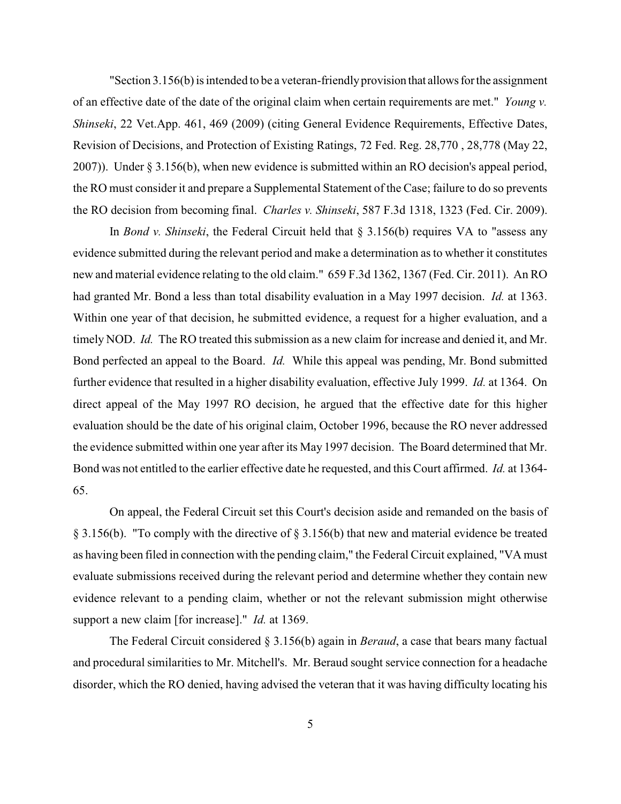"Section  $3.156(b)$  is intended to be a veteran-friendly provision that allows for the assignment of an effective date of the date of the original claim when certain requirements are met." *Young v. Shinseki*, 22 Vet.App. 461, 469 (2009) (citing General Evidence Requirements, Effective Dates, Revision of Decisions, and Protection of Existing Ratings, 72 Fed. Reg. 28,770 , 28,778 (May 22, 2007)). Under § 3.156(b), when new evidence is submitted within an RO decision's appeal period, the RO must consider it and prepare a Supplemental Statement of the Case; failure to do so prevents the RO decision from becoming final. *Charles v. Shinseki*, 587 F.3d 1318, 1323 (Fed. Cir. 2009).

In *Bond v. Shinseki*, the Federal Circuit held that § 3.156(b) requires VA to "assess any evidence submitted during the relevant period and make a determination as to whether it constitutes new and material evidence relating to the old claim." 659 F.3d 1362, 1367 (Fed. Cir. 2011). An RO had granted Mr. Bond a less than total disability evaluation in a May 1997 decision. *Id.* at 1363. Within one year of that decision, he submitted evidence, a request for a higher evaluation, and a timely NOD. *Id.* The RO treated this submission as a new claim for increase and denied it, and Mr. Bond perfected an appeal to the Board. *Id.* While this appeal was pending, Mr. Bond submitted further evidence that resulted in a higher disability evaluation, effective July 1999. *Id.* at 1364. On direct appeal of the May 1997 RO decision, he argued that the effective date for this higher evaluation should be the date of his original claim, October 1996, because the RO never addressed the evidence submitted within one year after its May 1997 decision. The Board determined that Mr. Bond was not entitled to the earlier effective date he requested, and this Court affirmed. *Id.* at 1364- 65.

On appeal, the Federal Circuit set this Court's decision aside and remanded on the basis of § 3.156(b). "To comply with the directive of § 3.156(b) that new and material evidence be treated as having been filed in connection with the pending claim," the Federal Circuit explained, "VA must evaluate submissions received during the relevant period and determine whether they contain new evidence relevant to a pending claim, whether or not the relevant submission might otherwise support a new claim [for increase]." *Id.* at 1369.

The Federal Circuit considered § 3.156(b) again in *Beraud*, a case that bears many factual and procedural similarities to Mr. Mitchell's. Mr. Beraud sought service connection for a headache disorder, which the RO denied, having advised the veteran that it was having difficulty locating his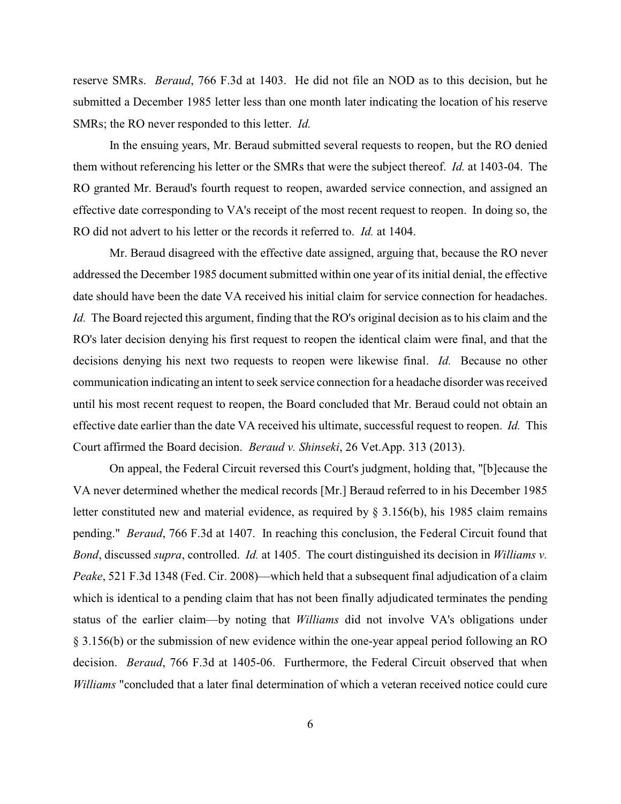reserve SMRs. *Beraud*, 766 F.3d at 1403. He did not file an NOD as to this decision, but he submitted a December 1985 letter less than one month later indicating the location of his reserve SMRs; the RO never responded to this letter. *Id.*

In the ensuing years, Mr. Beraud submitted several requests to reopen, but the RO denied them without referencing his letter or the SMRs that were the subject thereof. *Id.* at 1403-04. The RO granted Mr. Beraud's fourth request to reopen, awarded service connection, and assigned an effective date corresponding to VA's receipt of the most recent request to reopen. In doing so, the RO did not advert to his letter or the records it referred to. *Id.* at 1404.

Mr. Beraud disagreed with the effective date assigned, arguing that, because the RO never addressed the December 1985 document submitted within one year of its initial denial, the effective date should have been the date VA received his initial claim for service connection for headaches. *Id.* The Board rejected this argument, finding that the RO's original decision as to his claim and the RO's later decision denying his first request to reopen the identical claim were final, and that the decisions denying his next two requests to reopen were likewise final. *Id.* Because no other communication indicating an intent to seek service connection for a headache disorder was received until his most recent request to reopen, the Board concluded that Mr. Beraud could not obtain an effective date earlier than the date VA received his ultimate, successful request to reopen. *Id.* This Court affirmed the Board decision. *Beraud v. Shinseki*, 26 Vet.App. 313 (2013).

On appeal, the Federal Circuit reversed this Court's judgment, holding that, "[b]ecause the VA never determined whether the medical records [Mr.] Beraud referred to in his December 1985 letter constituted new and material evidence, as required by  $\S 3.156(b)$ , his 1985 claim remains pending." *Beraud*, 766 F.3d at 1407. In reaching this conclusion, the Federal Circuit found that *Bond*, discussed *supra*, controlled. *Id.* at 1405. The court distinguished its decision in *Williams v. Peake*, 521 F.3d 1348 (Fed. Cir. 2008)—which held that a subsequent final adjudication of a claim which is identical to a pending claim that has not been finally adjudicated terminates the pending status of the earlier claim—by noting that *Williams* did not involve VA's obligations under § 3.156(b) or the submission of new evidence within the one-year appeal period following an RO decision. *Beraud*, 766 F.3d at 1405-06. Furthermore, the Federal Circuit observed that when *Williams* "concluded that a later final determination of which a veteran received notice could cure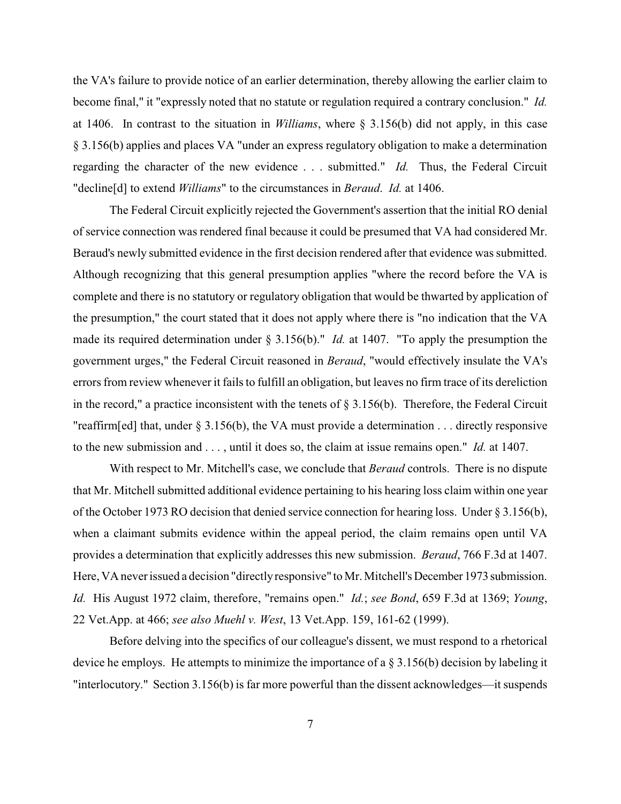the VA's failure to provide notice of an earlier determination, thereby allowing the earlier claim to become final," it "expressly noted that no statute or regulation required a contrary conclusion." *Id.* at 1406. In contrast to the situation in *Williams*, where § 3.156(b) did not apply, in this case § 3.156(b) applies and places VA "under an express regulatory obligation to make a determination regarding the character of the new evidence . . . submitted." *Id.* Thus, the Federal Circuit "decline[d] to extend *Williams*" to the circumstances in *Beraud*. *Id.* at 1406.

The Federal Circuit explicitly rejected the Government's assertion that the initial RO denial of service connection was rendered final because it could be presumed that VA had considered Mr. Beraud's newly submitted evidence in the first decision rendered after that evidence was submitted. Although recognizing that this general presumption applies "where the record before the VA is complete and there is no statutory or regulatory obligation that would be thwarted by application of the presumption," the court stated that it does not apply where there is "no indication that the VA made its required determination under § 3.156(b)." *Id.* at 1407. "To apply the presumption the government urges," the Federal Circuit reasoned in *Beraud*, "would effectively insulate the VA's errors from review whenever it fails to fulfill an obligation, but leaves no firm trace of its dereliction in the record," a practice inconsistent with the tenets of  $\S 3.156(b)$ . Therefore, the Federal Circuit "reaffirm[ed] that, under  $\S 3.156(b)$ , the VA must provide a determination ... directly responsive to the new submission and . . . , until it does so, the claim at issue remains open." *Id.* at 1407.

With respect to Mr. Mitchell's case, we conclude that *Beraud* controls. There is no dispute that Mr. Mitchell submitted additional evidence pertaining to his hearing loss claim within one year of the October 1973 RO decision that denied service connection for hearing loss. Under § 3.156(b), when a claimant submits evidence within the appeal period, the claim remains open until VA provides a determination that explicitly addresses this new submission. *Beraud*, 766 F.3d at 1407. Here, VA neverissued a decision "directlyresponsive" to Mr. Mitchell's December 1973 submission. *Id.* His August 1972 claim, therefore, "remains open." *Id.*; *see Bond*, 659 F.3d at 1369; *Young*, 22 Vet.App. at 466; *see also Muehl v. West*, 13 Vet.App. 159, 161-62 (1999).

Before delving into the specifics of our colleague's dissent, we must respond to a rhetorical device he employs. He attempts to minimize the importance of a § 3.156(b) decision by labeling it "interlocutory." Section 3.156(b) is far more powerful than the dissent acknowledges—it suspends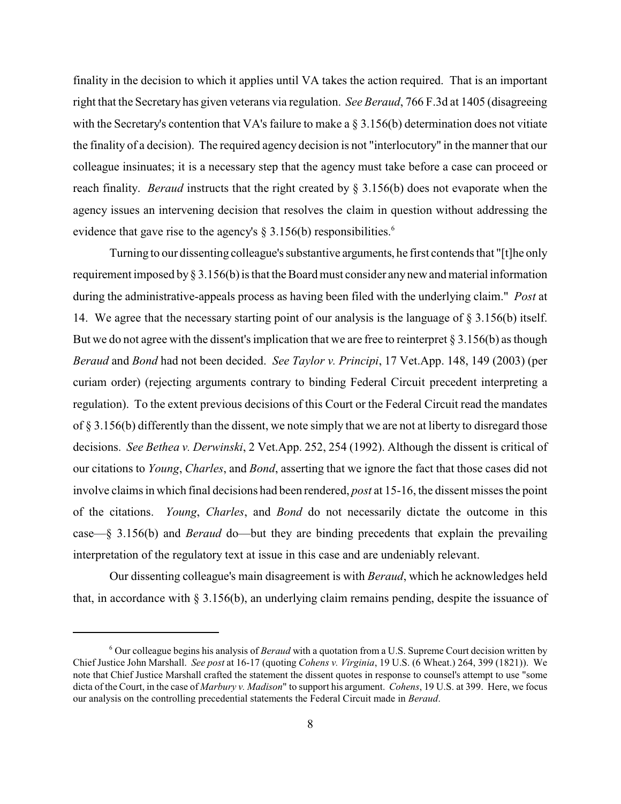finality in the decision to which it applies until VA takes the action required. That is an important right that the Secretaryhas given veterans via regulation. *See Beraud*, 766 F.3d at 1405 (disagreeing with the Secretary's contention that VA's failure to make a  $\S 3.156(b)$  determination does not vitiate the finality of a decision). The required agency decision is not "interlocutory" in the manner that our colleague insinuates; it is a necessary step that the agency must take before a case can proceed or reach finality. *Beraud* instructs that the right created by § 3.156(b) does not evaporate when the agency issues an intervening decision that resolves the claim in question without addressing the evidence that gave rise to the agency's  $\S 3.156(b)$  responsibilities.<sup>6</sup>

Turning to our dissenting colleague's substantive arguments, he first contends that "[t]he only requirement imposed by§ 3.156(b) is that the Board must consider anynew and material information during the administrative-appeals process as having been filed with the underlying claim." *Post* at 14. We agree that the necessary starting point of our analysis is the language of § 3.156(b) itself. But we do not agree with the dissent's implication that we are free to reinterpret § 3.156(b) as though *Beraud* and *Bond* had not been decided. *See Taylor v. Principi*, 17 Vet.App. 148, 149 (2003) (per curiam order) (rejecting arguments contrary to binding Federal Circuit precedent interpreting a regulation). To the extent previous decisions of this Court or the Federal Circuit read the mandates of  $\S 3.156(b)$  differently than the dissent, we note simply that we are not at liberty to disregard those decisions. *See Bethea v. Derwinski*, 2 Vet.App. 252, 254 (1992). Although the dissent is critical of our citations to *Young*, *Charles*, and *Bond*, asserting that we ignore the fact that those cases did not involve claims in which final decisions had been rendered, *post* at 15-16, the dissent misses the point of the citations. *Young*, *Charles*, and *Bond* do not necessarily dictate the outcome in this case—§ 3.156(b) and *Beraud* do—but they are binding precedents that explain the prevailing interpretation of the regulatory text at issue in this case and are undeniably relevant.

Our dissenting colleague's main disagreement is with *Beraud*, which he acknowledges held that, in accordance with  $\S 3.156(b)$ , an underlying claim remains pending, despite the issuance of

Our colleague begins his analysis of *Beraud* with a quotation from a U.S. Supreme Court decision written by <sup>6</sup> Chief Justice John Marshall. *See post* at 16-17 (quoting *Cohens v. Virginia*, 19 U.S. (6 Wheat.) 264, 399 (1821)). We note that Chief Justice Marshall crafted the statement the dissent quotes in response to counsel's attempt to use "some dicta of the Court, in the case of *Marbury v. Madison*" to support his argument. *Cohens*, 19 U.S. at 399. Here, we focus our analysis on the controlling precedential statements the Federal Circuit made in *Beraud*.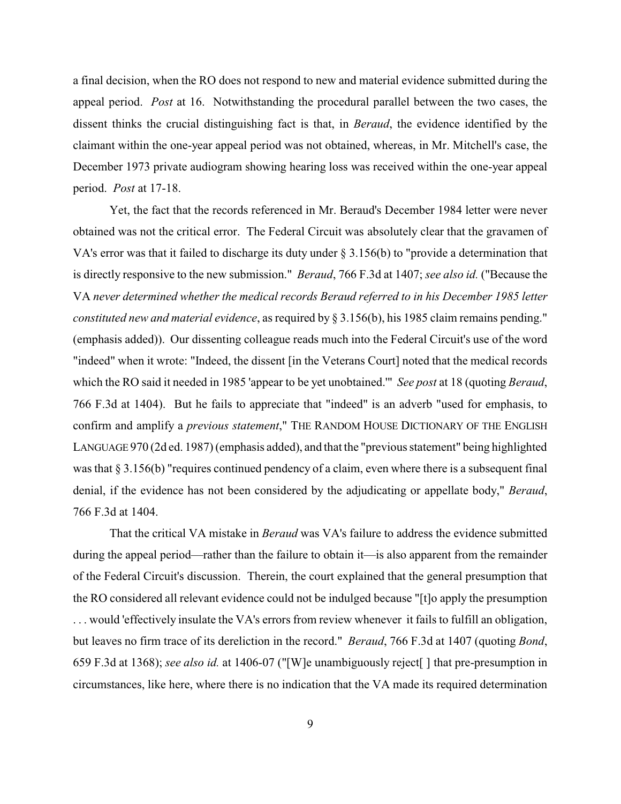a final decision, when the RO does not respond to new and material evidence submitted during the appeal period. *Post* at 16. Notwithstanding the procedural parallel between the two cases, the dissent thinks the crucial distinguishing fact is that, in *Beraud*, the evidence identified by the claimant within the one-year appeal period was not obtained, whereas, in Mr. Mitchell's case, the December 1973 private audiogram showing hearing loss was received within the one-year appeal period. *Post* at 17-18.

Yet, the fact that the records referenced in Mr. Beraud's December 1984 letter were never obtained was not the critical error. The Federal Circuit was absolutely clear that the gravamen of VA's error was that it failed to discharge its duty under  $\S 3.156(b)$  to "provide a determination that is directly responsive to the new submission." *Beraud*, 766 F.3d at 1407; *see also id.* ("Because the VA *never determined whether the medical records Beraud referred to in his December 1985 letter constituted new and material evidence*, as required by § 3.156(b), his 1985 claim remains pending." (emphasis added)). Our dissenting colleague reads much into the Federal Circuit's use of the word "indeed" when it wrote: "Indeed, the dissent [in the Veterans Court] noted that the medical records which the RO said it needed in 1985 'appear to be yet unobtained.'" *See post* at 18 (quoting *Beraud*, 766 F.3d at 1404). But he fails to appreciate that "indeed" is an adverb "used for emphasis, to confirm and amplify a *previous statement*," THE RANDOM HOUSE DICTIONARY OF THE ENGLISH LANGUAGE 970 (2d ed. 1987) (emphasis added), and that the "previous statement" being highlighted was that § 3.156(b) "requires continued pendency of a claim, even where there is a subsequent final denial, if the evidence has not been considered by the adjudicating or appellate body," *Beraud*, 766 F.3d at 1404.

That the critical VA mistake in *Beraud* was VA's failure to address the evidence submitted during the appeal period—rather than the failure to obtain it—is also apparent from the remainder of the Federal Circuit's discussion. Therein, the court explained that the general presumption that the RO considered all relevant evidence could not be indulged because "[t]o apply the presumption . . . would 'effectively insulate the VA's errors from review whenever it fails to fulfill an obligation, but leaves no firm trace of its dereliction in the record." *Beraud*, 766 F.3d at 1407 (quoting *Bond*, 659 F.3d at 1368); *see also id.* at 1406-07 ("[W]e unambiguously reject[ ] that pre-presumption in circumstances, like here, where there is no indication that the VA made its required determination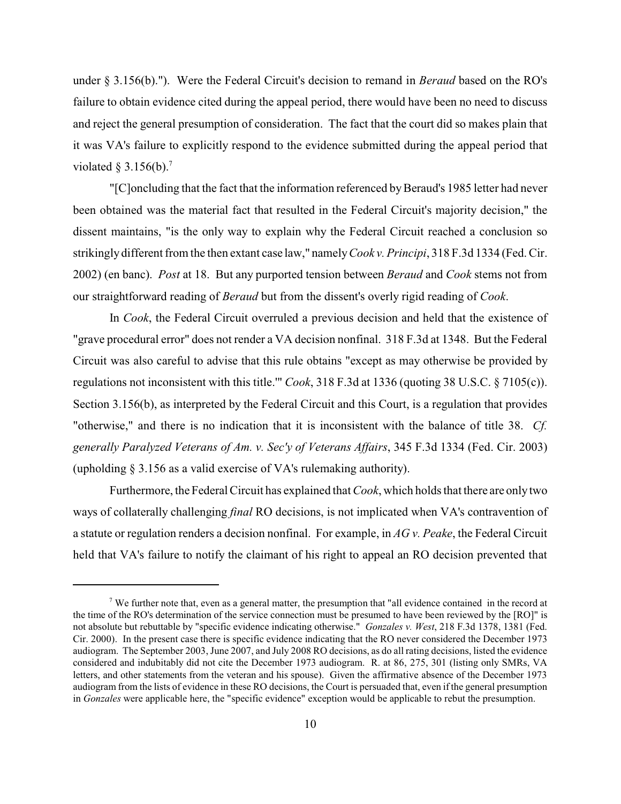under § 3.156(b)."). Were the Federal Circuit's decision to remand in *Beraud* based on the RO's failure to obtain evidence cited during the appeal period, there would have been no need to discuss and reject the general presumption of consideration. The fact that the court did so makes plain that it was VA's failure to explicitly respond to the evidence submitted during the appeal period that violated § 3.156(b).<sup>7</sup>

"[C]oncluding that the fact that the information referenced by Beraud's 1985 letter had never been obtained was the material fact that resulted in the Federal Circuit's majority decision," the dissent maintains, "is the only way to explain why the Federal Circuit reached a conclusion so strikingly different from the then extant case law," namely*Cook v. Principi*, 318 F.3d 1334 (Fed. Cir. 2002) (en banc). *Post* at 18. But any purported tension between *Beraud* and *Cook* stems not from our straightforward reading of *Beraud* but from the dissent's overly rigid reading of *Cook*.

In *Cook*, the Federal Circuit overruled a previous decision and held that the existence of "grave procedural error" does not render a VA decision nonfinal. 318 F.3d at 1348. But the Federal Circuit was also careful to advise that this rule obtains "except as may otherwise be provided by regulations not inconsistent with this title.'" *Cook*, 318 F.3d at 1336 (quoting 38 U.S.C. § 7105(c)). Section 3.156(b), as interpreted by the Federal Circuit and this Court, is a regulation that provides "otherwise," and there is no indication that it is inconsistent with the balance of title 38. *Cf. generally Paralyzed Veterans of Am. v. Sec'y of Veterans Affairs*, 345 F.3d 1334 (Fed. Cir. 2003) (upholding § 3.156 as a valid exercise of VA's rulemaking authority).

Furthermore, the Federal Circuit has explained that *Cook*, which holds that there are onlytwo ways of collaterally challenging *final* RO decisions, is not implicated when VA's contravention of a statute or regulation renders a decision nonfinal. For example, in *AG v. Peake*, the Federal Circuit held that VA's failure to notify the claimant of his right to appeal an RO decision prevented that

<sup>&</sup>lt;sup>7</sup> We further note that, even as a general matter, the presumption that "all evidence contained in the record at the time of the RO's determination of the service connection must be presumed to have been reviewed by the [RO]" is not absolute but rebuttable by "specific evidence indicating otherwise." *Gonzales v. West*, 218 F.3d 1378, 1381 (Fed. Cir. 2000). In the present case there is specific evidence indicating that the RO never considered the December 1973 audiogram. The September 2003, June 2007, and July 2008 RO decisions, as do all rating decisions, listed the evidence considered and indubitably did not cite the December 1973 audiogram. R. at 86, 275, 301 (listing only SMRs, VA letters, and other statements from the veteran and his spouse). Given the affirmative absence of the December 1973 audiogram from the lists of evidence in these RO decisions, the Court is persuaded that, even if the general presumption in *Gonzales* were applicable here, the "specific evidence" exception would be applicable to rebut the presumption.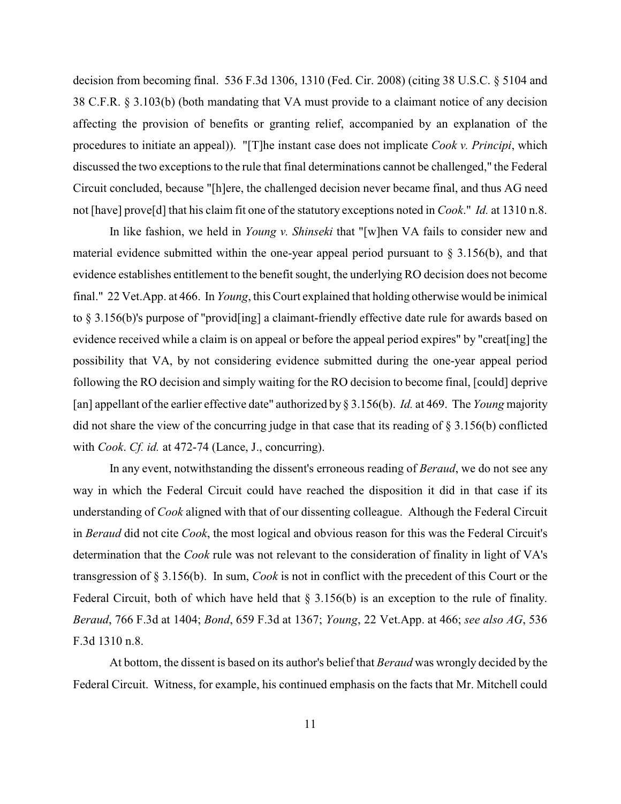decision from becoming final. 536 F.3d 1306, 1310 (Fed. Cir. 2008) (citing 38 U.S.C. § 5104 and 38 C.F.R. § 3.103(b) (both mandating that VA must provide to a claimant notice of any decision affecting the provision of benefits or granting relief, accompanied by an explanation of the procedures to initiate an appeal)). "[T]he instant case does not implicate *Cook v. Principi*, which discussed the two exceptions to the rule that final determinations cannot be challenged," the Federal Circuit concluded, because "[h]ere, the challenged decision never became final, and thus AG need not [have] prove[d] that his claim fit one of the statutory exceptions noted in *Cook*." *Id.* at 1310 n.8.

In like fashion, we held in *Young v. Shinseki* that "[w]hen VA fails to consider new and material evidence submitted within the one-year appeal period pursuant to  $\S 3.156(b)$ , and that evidence establishes entitlement to the benefit sought, the underlying RO decision does not become final." 22 Vet.App. at 466. In *Young*, this Court explained that holding otherwise would be inimical to § 3.156(b)'s purpose of "provid[ing] a claimant-friendly effective date rule for awards based on evidence received while a claim is on appeal or before the appeal period expires" by "creat[ing] the possibility that VA, by not considering evidence submitted during the one-year appeal period following the RO decision and simply waiting for the RO decision to become final, [could] deprive [an] appellant of the earlier effective date" authorized by § 3.156(b). *Id.* at 469. The *Young* majority did not share the view of the concurring judge in that case that its reading of § 3.156(b) conflicted with *Cook*. *Cf. id.* at 472-74 (Lance, J., concurring).

In any event, notwithstanding the dissent's erroneous reading of *Beraud*, we do not see any way in which the Federal Circuit could have reached the disposition it did in that case if its understanding of *Cook* aligned with that of our dissenting colleague. Although the Federal Circuit in *Beraud* did not cite *Cook*, the most logical and obvious reason for this was the Federal Circuit's determination that the *Cook* rule was not relevant to the consideration of finality in light of VA's transgression of § 3.156(b). In sum, *Cook* is not in conflict with the precedent of this Court or the Federal Circuit, both of which have held that  $\S 3.156(b)$  is an exception to the rule of finality. *Beraud*, 766 F.3d at 1404; *Bond*, 659 F.3d at 1367; *Young*, 22 Vet.App. at 466; *see also AG*, 536 F.3d 1310 n.8.

At bottom, the dissent is based on its author's belief that *Beraud* was wrongly decided by the Federal Circuit. Witness, for example, his continued emphasis on the facts that Mr. Mitchell could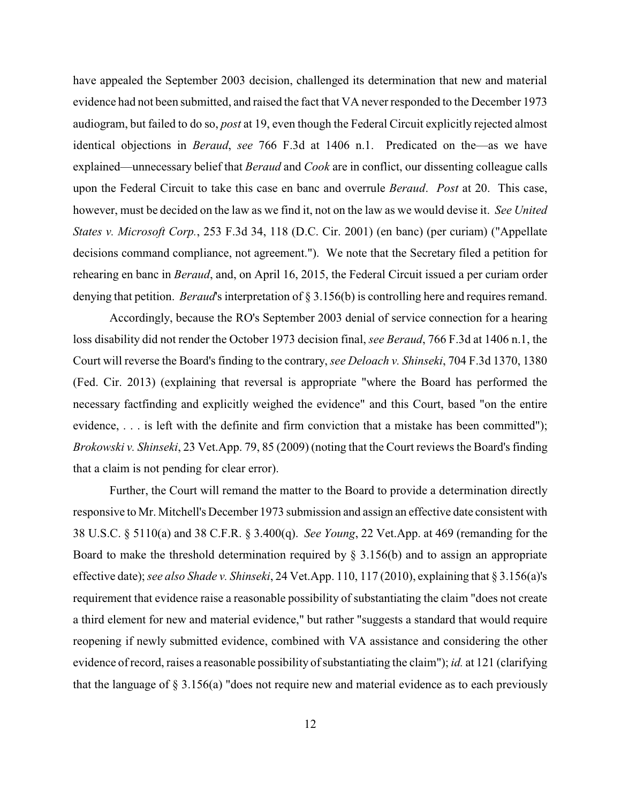have appealed the September 2003 decision, challenged its determination that new and material evidence had not been submitted, and raised the fact that VA never responded to the December 1973 audiogram, but failed to do so, *post* at 19, even though the Federal Circuit explicitly rejected almost identical objections in *Beraud*, *see* 766 F.3d at 1406 n.1. Predicated on the—as we have explained—unnecessary belief that *Beraud* and *Cook* are in conflict, our dissenting colleague calls upon the Federal Circuit to take this case en banc and overrule *Beraud*. *Post* at 20. This case, however, must be decided on the law as we find it, not on the law as we would devise it. *See United States v. Microsoft Corp.*, 253 F.3d 34, 118 (D.C. Cir. 2001) (en banc) (per curiam) ("Appellate decisions command compliance, not agreement."). We note that the Secretary filed a petition for rehearing en banc in *Beraud*, and, on April 16, 2015, the Federal Circuit issued a per curiam order denying that petition. *Beraud*'s interpretation of § 3.156(b) is controlling here and requires remand.

Accordingly, because the RO's September 2003 denial of service connection for a hearing loss disability did not render the October 1973 decision final, *see Beraud*, 766 F.3d at 1406 n.1, the Court will reverse the Board's finding to the contrary, *see Deloach v. Shinseki*, 704 F.3d 1370, 1380 (Fed. Cir. 2013) (explaining that reversal is appropriate "where the Board has performed the necessary factfinding and explicitly weighed the evidence" and this Court, based "on the entire evidence, . . . is left with the definite and firm conviction that a mistake has been committed"); *Brokowski v. Shinseki*, 23 Vet.App. 79, 85 (2009) (noting that the Court reviews the Board's finding that a claim is not pending for clear error).

Further, the Court will remand the matter to the Board to provide a determination directly responsive to Mr. Mitchell's December 1973 submission and assign an effective date consistent with 38 U.S.C. § 5110(a) and 38 C.F.R. § 3.400(q). *See Young*, 22 Vet.App. at 469 (remanding for the Board to make the threshold determination required by  $\S 3.156(b)$  and to assign an appropriate effective date); *see also Shade v. Shinseki*, 24 Vet.App. 110, 117 (2010), explaining that § 3.156(a)'s requirement that evidence raise a reasonable possibility of substantiating the claim "does not create a third element for new and material evidence," but rather "suggests a standard that would require reopening if newly submitted evidence, combined with VA assistance and considering the other evidence of record, raises a reasonable possibility of substantiating the claim"); *id.* at 121 (clarifying that the language of § 3.156(a) "does not require new and material evidence as to each previously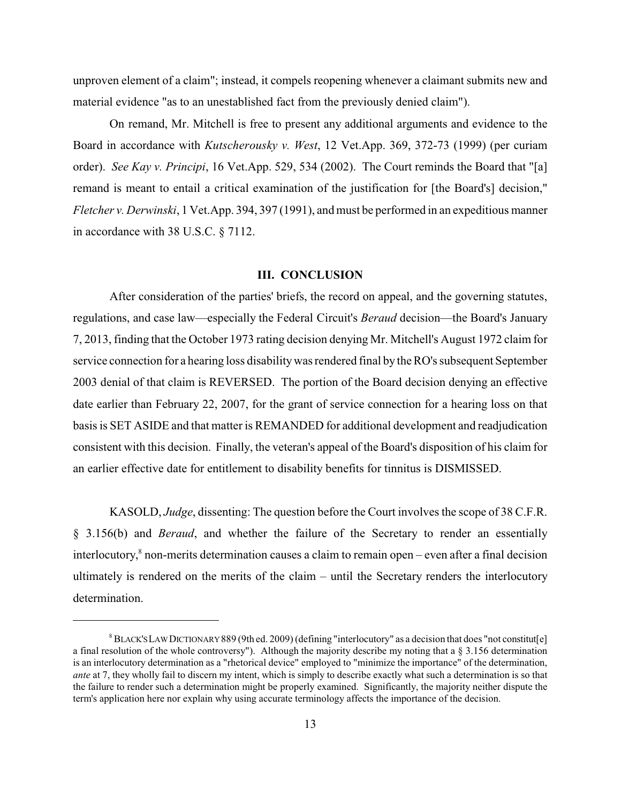unproven element of a claim"; instead, it compels reopening whenever a claimant submits new and material evidence "as to an unestablished fact from the previously denied claim").

On remand, Mr. Mitchell is free to present any additional arguments and evidence to the Board in accordance with *Kutscherousky v. West*, 12 Vet.App. 369, 372-73 (1999) (per curiam order). *See Kay v. Principi*, 16 Vet.App. 529, 534 (2002). The Court reminds the Board that "[a] remand is meant to entail a critical examination of the justification for [the Board's] decision," *Fletcher v. Derwinski*, 1 Vet.App. 394, 397 (1991), and must be performed in an expeditious manner in accordance with 38 U.S.C. § 7112.

## **III. CONCLUSION**

After consideration of the parties' briefs, the record on appeal, and the governing statutes, regulations, and case law—especially the Federal Circuit's *Beraud* decision—the Board's January 7, 2013, finding that the October 1973 rating decision denying Mr. Mitchell's August 1972 claim for service connection for a hearing loss disability was rendered final by the RO's subsequent September 2003 denial of that claim is REVERSED. The portion of the Board decision denying an effective date earlier than February 22, 2007, for the grant of service connection for a hearing loss on that basis is SET ASIDE and that matter is REMANDED for additional development and readjudication consistent with this decision. Finally, the veteran's appeal of the Board's disposition of his claim for an earlier effective date for entitlement to disability benefits for tinnitus is DISMISSED.

KASOLD, *Judge*, dissenting: The question before the Court involves the scope of 38 C.F.R. § 3.156(b) and *Beraud*, and whether the failure of the Secretary to render an essentially interlocutory, $\sin$  non-merits determination causes a claim to remain open – even after a final decision ultimately is rendered on the merits of the claim – until the Secretary renders the interlocutory determination.

 $^8$ BLACK'S LAW DICTIONARY 889 (9th ed. 2009) (defining "interlocutory" as a decision that does "not constitut[e] a final resolution of the whole controversy"). Although the majority describe my noting that a  $\S$  3.156 determination is an interlocutory determination as a "rhetorical device" employed to "minimize the importance" of the determination, *ante* at 7, they wholly fail to discern my intent, which is simply to describe exactly what such a determination is so that the failure to render such a determination might be properly examined. Significantly, the majority neither dispute the term's application here nor explain why using accurate terminology affects the importance of the decision.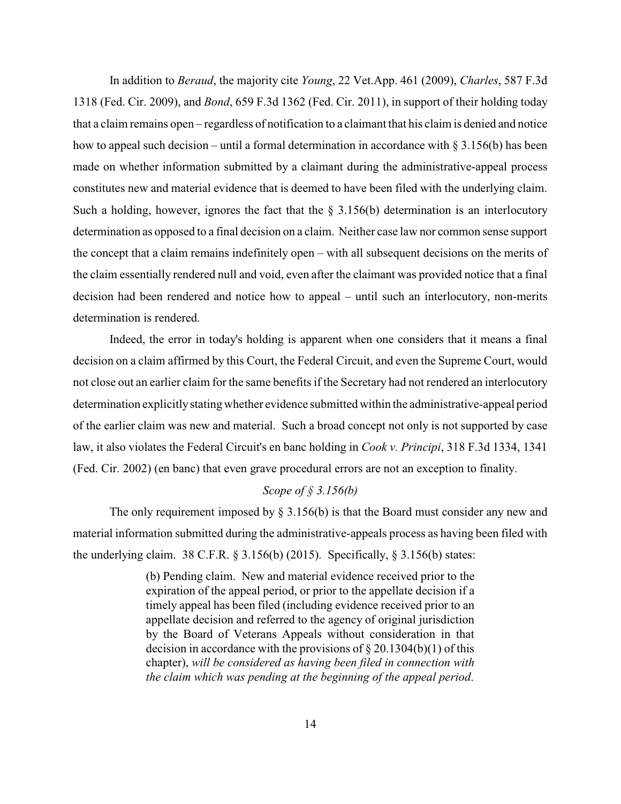In addition to *Beraud*, the majority cite *Young*, 22 Vet.App. 461 (2009), *Charles*, 587 F.3d 1318 (Fed. Cir. 2009), and *Bond*, 659 F.3d 1362 (Fed. Cir. 2011), in support of their holding today that a claim remains open – regardless of notification to a claimant that his claim is denied and notice how to appeal such decision – until a formal determination in accordance with  $\S 3.156(b)$  has been made on whether information submitted by a claimant during the administrative-appeal process constitutes new and material evidence that is deemed to have been filed with the underlying claim. Such a holding, however, ignores the fact that the  $\S 3.156(b)$  determination is an interlocutory determination as opposed to a final decision on a claim. Neither case law nor common sense support the concept that a claim remains indefinitely open – with all subsequent decisions on the merits of the claim essentially rendered null and void, even after the claimant was provided notice that a final decision had been rendered and notice how to appeal – until such an interlocutory, non-merits determination is rendered.

Indeed, the error in today's holding is apparent when one considers that it means a final decision on a claim affirmed by this Court, the Federal Circuit, and even the Supreme Court, would not close out an earlier claim for the same benefits if the Secretary had not rendered an interlocutory determination explicitlystating whether evidence submitted within the administrative-appeal period of the earlier claim was new and material. Such a broad concept not only is not supported by case law, it also violates the Federal Circuit's en banc holding in *Cook v. Principi*, 318 F.3d 1334, 1341 (Fed. Cir. 2002) (en banc) that even grave procedural errors are not an exception to finality.

# *Scope of § 3.156(b)*

The only requirement imposed by  $\S 3.156(b)$  is that the Board must consider any new and material information submitted during the administrative-appeals process as having been filed with the underlying claim. 38 C.F.R.  $\S 3.156(b)$  (2015). Specifically,  $\S 3.156(b)$  states:

> (b) Pending claim. New and material evidence received prior to the expiration of the appeal period, or prior to the appellate decision if a timely appeal has been filed (including evidence received prior to an appellate decision and referred to the agency of original jurisdiction by the Board of Veterans Appeals without consideration in that decision in accordance with the provisions of  $\S 20.1304(b)(1)$  of this chapter), *will be considered as having been filed in connection with the claim which was pending at the beginning of the appeal period*.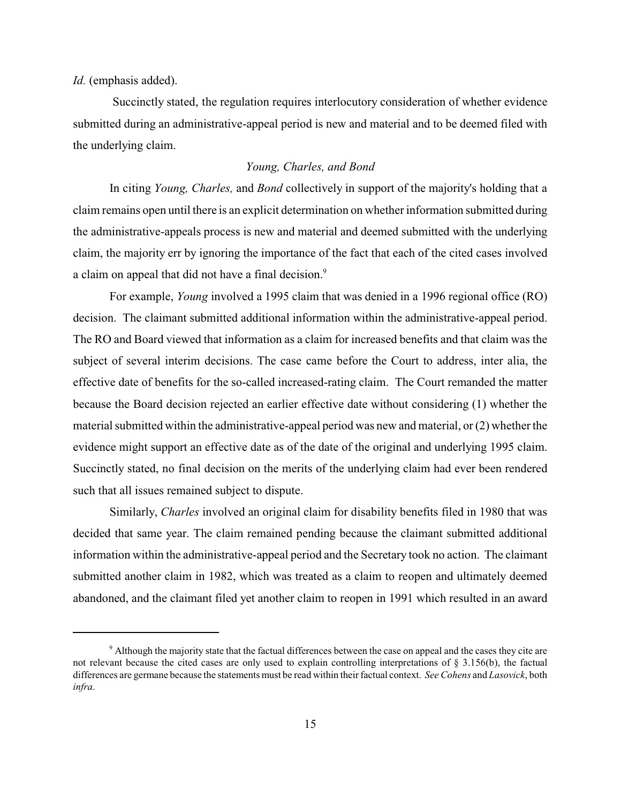*Id.* (emphasis added).

Succinctly stated, the regulation requires interlocutory consideration of whether evidence submitted during an administrative-appeal period is new and material and to be deemed filed with the underlying claim.

## *Young, Charles, and Bond*

In citing *Young, Charles,* and *Bond* collectively in support of the majority's holding that a claim remains open until there is an explicit determination on whether information submitted during the administrative-appeals process is new and material and deemed submitted with the underlying claim, the majority err by ignoring the importance of the fact that each of the cited cases involved a claim on appeal that did not have a final decision.<sup>9</sup>

For example, *Young* involved a 1995 claim that was denied in a 1996 regional office (RO) decision. The claimant submitted additional information within the administrative-appeal period. The RO and Board viewed that information as a claim for increased benefits and that claim was the subject of several interim decisions. The case came before the Court to address, inter alia, the effective date of benefits for the so-called increased-rating claim. The Court remanded the matter because the Board decision rejected an earlier effective date without considering (1) whether the material submitted within the administrative-appeal period was new and material, or  $(2)$  whether the evidence might support an effective date as of the date of the original and underlying 1995 claim. Succinctly stated, no final decision on the merits of the underlying claim had ever been rendered such that all issues remained subject to dispute.

Similarly, *Charles* involved an original claim for disability benefits filed in 1980 that was decided that same year. The claim remained pending because the claimant submitted additional information within the administrative-appeal period and the Secretary took no action. The claimant submitted another claim in 1982, which was treated as a claim to reopen and ultimately deemed abandoned, and the claimant filed yet another claim to reopen in 1991 which resulted in an award

<sup>&</sup>lt;sup>9</sup> Although the majority state that the factual differences between the case on appeal and the cases they cite are not relevant because the cited cases are only used to explain controlling interpretations of § 3.156(b), the factual differences are germane because the statements must be read within their factual context. *See Cohens* and *Lasovick*, both *infra*.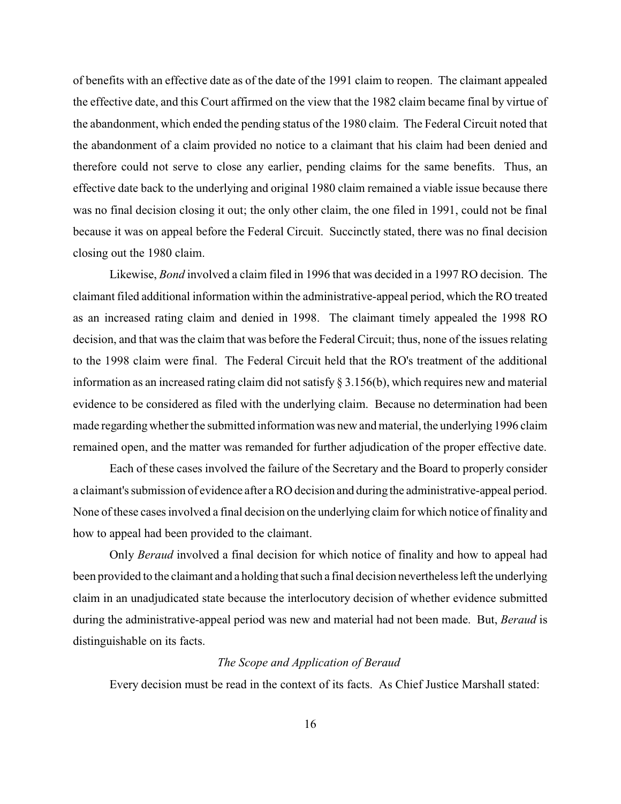of benefits with an effective date as of the date of the 1991 claim to reopen. The claimant appealed the effective date, and this Court affirmed on the view that the 1982 claim became final by virtue of the abandonment, which ended the pending status of the 1980 claim. The Federal Circuit noted that the abandonment of a claim provided no notice to a claimant that his claim had been denied and therefore could not serve to close any earlier, pending claims for the same benefits. Thus, an effective date back to the underlying and original 1980 claim remained a viable issue because there was no final decision closing it out; the only other claim, the one filed in 1991, could not be final because it was on appeal before the Federal Circuit. Succinctly stated, there was no final decision closing out the 1980 claim.

Likewise, *Bond* involved a claim filed in 1996 that was decided in a 1997 RO decision. The claimant filed additional information within the administrative-appeal period, which the RO treated as an increased rating claim and denied in 1998. The claimant timely appealed the 1998 RO decision, and that was the claim that was before the Federal Circuit; thus, none of the issues relating to the 1998 claim were final. The Federal Circuit held that the RO's treatment of the additional information as an increased rating claim did not satisfy  $\S 3.156(b)$ , which requires new and material evidence to be considered as filed with the underlying claim. Because no determination had been made regarding whether the submitted information was new and material, the underlying 1996 claim remained open, and the matter was remanded for further adjudication of the proper effective date.

Each of these cases involved the failure of the Secretary and the Board to properly consider a claimant's submission of evidence after a RO decision and during the administrative-appeal period. None of these cases involved a final decision on the underlying claim for which notice of finality and how to appeal had been provided to the claimant.

Only *Beraud* involved a final decision for which notice of finality and how to appeal had been provided to the claimant and a holding that such a final decision nevertheless left the underlying claim in an unadjudicated state because the interlocutory decision of whether evidence submitted during the administrative-appeal period was new and material had not been made. But, *Beraud* is distinguishable on its facts.

#### *The Scope and Application of Beraud*

Every decision must be read in the context of its facts. As Chief Justice Marshall stated: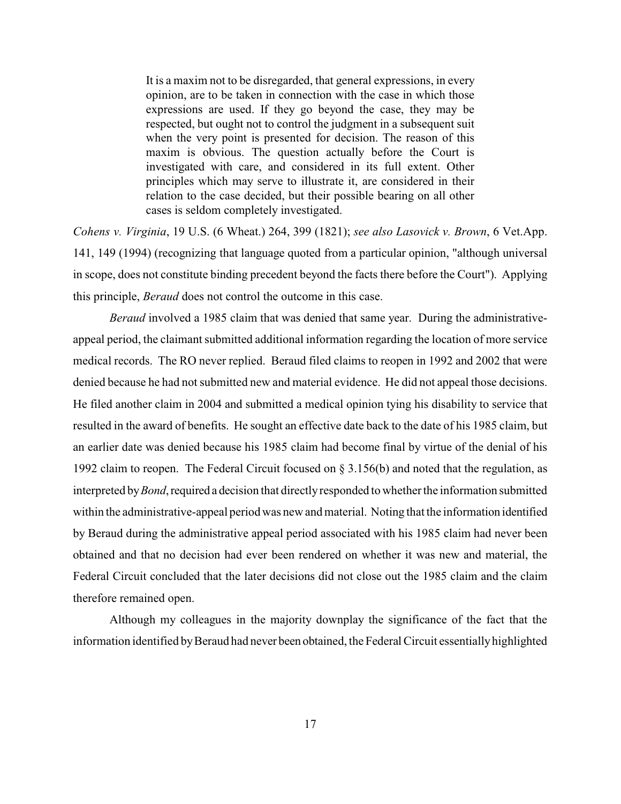It is a maxim not to be disregarded, that general expressions, in every opinion, are to be taken in connection with the case in which those expressions are used. If they go beyond the case, they may be respected, but ought not to control the judgment in a subsequent suit when the very point is presented for decision. The reason of this maxim is obvious. The question actually before the Court is investigated with care, and considered in its full extent. Other principles which may serve to illustrate it, are considered in their relation to the case decided, but their possible bearing on all other cases is seldom completely investigated.

*Cohens v. Virginia*, 19 U.S. (6 Wheat.) 264, 399 (1821); *see also Lasovick v. Brown*, 6 Vet.App. 141, 149 (1994) (recognizing that language quoted from a particular opinion, "although universal in scope, does not constitute binding precedent beyond the facts there before the Court"). Applying this principle, *Beraud* does not control the outcome in this case.

*Beraud* involved a 1985 claim that was denied that same year. During the administrativeappeal period, the claimant submitted additional information regarding the location of more service medical records. The RO never replied. Beraud filed claims to reopen in 1992 and 2002 that were denied because he had not submitted new and material evidence. He did not appeal those decisions. He filed another claim in 2004 and submitted a medical opinion tying his disability to service that resulted in the award of benefits. He sought an effective date back to the date of his 1985 claim, but an earlier date was denied because his 1985 claim had become final by virtue of the denial of his 1992 claim to reopen. The Federal Circuit focused on § 3.156(b) and noted that the regulation, as interpreted by *Bond*, required a decision that directly responded to whether the information submitted within the administrative-appeal period was new and material. Noting that the information identified by Beraud during the administrative appeal period associated with his 1985 claim had never been obtained and that no decision had ever been rendered on whether it was new and material, the Federal Circuit concluded that the later decisions did not close out the 1985 claim and the claim therefore remained open.

Although my colleagues in the majority downplay the significance of the fact that the information identified byBeraud had never been obtained, the Federal Circuit essentiallyhighlighted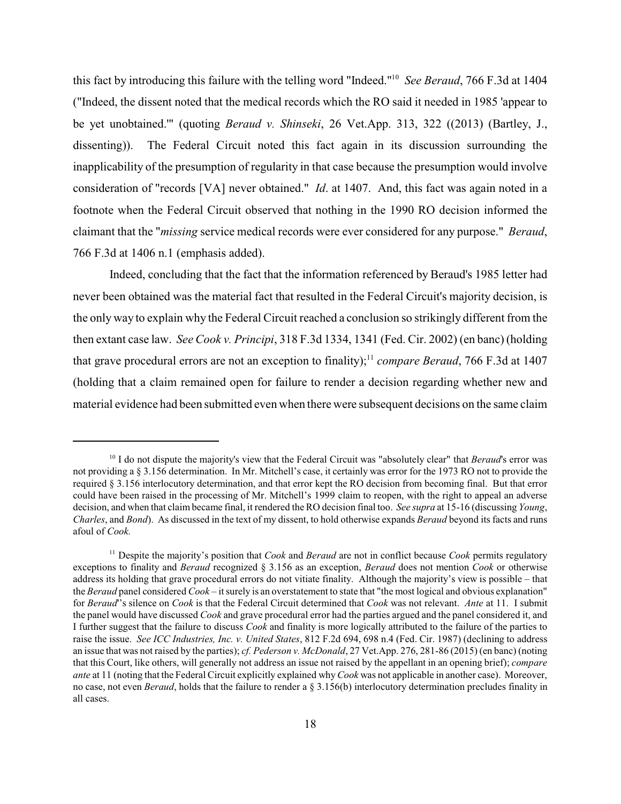this fact by introducing this failure with the telling word "Indeed."<sup>10</sup> See Beraud, 766 F.3d at 1404 ("Indeed, the dissent noted that the medical records which the RO said it needed in 1985 'appear to be yet unobtained.'" (quoting *Beraud v. Shinseki*, 26 Vet.App. 313, 322 ((2013) (Bartley, J., dissenting)). The Federal Circuit noted this fact again in its discussion surrounding the inapplicability of the presumption of regularity in that case because the presumption would involve consideration of "records [VA] never obtained." *Id*. at 1407. And, this fact was again noted in a footnote when the Federal Circuit observed that nothing in the 1990 RO decision informed the claimant that the "*missing* service medical records were ever considered for any purpose." *Beraud*, 766 F.3d at 1406 n.1 (emphasis added).

Indeed, concluding that the fact that the information referenced by Beraud's 1985 letter had never been obtained was the material fact that resulted in the Federal Circuit's majority decision, is the only way to explain why the Federal Circuit reached a conclusion so strikingly different from the then extant case law. *See Cook v. Principi*, 318 F.3d 1334, 1341 (Fed. Cir. 2002) (en banc) (holding that grave procedural errors are not an exception to finality);<sup>11</sup> compare Beraud, 766 F.3d at 1407 (holding that a claim remained open for failure to render a decision regarding whether new and material evidence had been submitted even when there were subsequent decisions on the same claim

<sup>&</sup>lt;sup>10</sup> I do not dispute the majority's view that the Federal Circuit was "absolutely clear" that *Beraud*'s error was not providing a § 3.156 determination. In Mr. Mitchell's case, it certainly was error for the 1973 RO not to provide the required § 3.156 interlocutory determination, and that error kept the RO decision from becoming final. But that error could have been raised in the processing of Mr. Mitchell's 1999 claim to reopen, with the right to appeal an adverse decision, and when that claim became final, it rendered the RO decision final too. *See supra* at 15-16 (discussing *Young*, *Charles*, and *Bond*). As discussed in the text of my dissent, to hold otherwise expands *Beraud* beyond its facts and runs afoul of *Cook.*

 $^{11}$  Despite the majority's position that *Cook* and *Beraud* are not in conflict because *Cook* permits regulatory exceptions to finality and *Beraud* recognized § 3.156 as an exception, *Beraud* does not mention *Cook* or otherwise address its holding that grave procedural errors do not vitiate finality. Although the majority's view is possible – that the *Beraud* panel considered *Cook* – it surely is an overstatement to state that "the most logical and obvious explanation" for *Beraud*''s silence on *Cook* is that the Federal Circuit determined that *Cook* was not relevant. *Ante* at 11. I submit the panel would have discussed *Cook* and grave procedural error had the parties argued and the panel considered it, and I further suggest that the failure to discuss *Cook* and finality is more logically attributed to the failure of the parties to raise the issue. *See ICC Industries, Inc. v. United States*, 812 F.2d 694, 698 n.4 (Fed. Cir. 1987) (declining to address an issue that was not raised by the parties); *cf. Pederson v. McDonald*, 27 Vet.App. 276, 281-86 (2015) (en banc) (noting that this Court, like others, will generally not address an issue not raised by the appellant in an opening brief); *compare ante* at 11 (noting that the Federal Circuit explicitly explained why*Cook* was not applicable in another case). Moreover, no case, not even *Beraud*, holds that the failure to render a § 3.156(b) interlocutory determination precludes finality in all cases.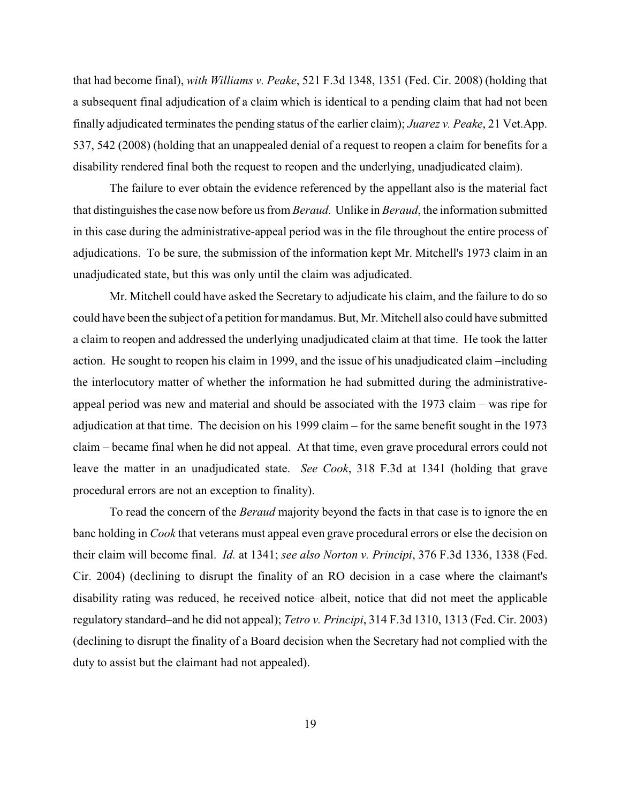that had become final), *with Williams v. Peake*, 521 F.3d 1348, 1351 (Fed. Cir. 2008) (holding that a subsequent final adjudication of a claim which is identical to a pending claim that had not been finally adjudicated terminates the pending status of the earlier claim); *Juarez v. Peake*, 21 Vet.App. 537, 542 (2008) (holding that an unappealed denial of a request to reopen a claim for benefits for a disability rendered final both the request to reopen and the underlying, unadjudicated claim).

The failure to ever obtain the evidence referenced by the appellant also is the material fact that distinguishes the case now before us from *Beraud*. Unlike in *Beraud*, the information submitted in this case during the administrative-appeal period was in the file throughout the entire process of adjudications. To be sure, the submission of the information kept Mr. Mitchell's 1973 claim in an unadjudicated state, but this was only until the claim was adjudicated.

Mr. Mitchell could have asked the Secretary to adjudicate his claim, and the failure to do so could have been the subject of a petition for mandamus. But, Mr. Mitchell also could have submitted a claim to reopen and addressed the underlying unadjudicated claim at that time. He took the latter action. He sought to reopen his claim in 1999, and the issue of his unadjudicated claim –including the interlocutory matter of whether the information he had submitted during the administrativeappeal period was new and material and should be associated with the 1973 claim – was ripe for adjudication at that time. The decision on his 1999 claim – for the same benefit sought in the 1973 claim – became final when he did not appeal. At that time, even grave procedural errors could not leave the matter in an unadjudicated state. *See Cook*, 318 F.3d at 1341 (holding that grave procedural errors are not an exception to finality).

To read the concern of the *Beraud* majority beyond the facts in that case is to ignore the en banc holding in *Cook* that veterans must appeal even grave procedural errors or else the decision on their claim will become final. *Id.* at 1341; *see also Norton v. Principi*, 376 F.3d 1336, 1338 (Fed. Cir. 2004) (declining to disrupt the finality of an RO decision in a case where the claimant's disability rating was reduced, he received notice–albeit, notice that did not meet the applicable regulatory standard–and he did not appeal); *Tetro v. Principi*, 314 F.3d 1310, 1313 (Fed. Cir. 2003) (declining to disrupt the finality of a Board decision when the Secretary had not complied with the duty to assist but the claimant had not appealed).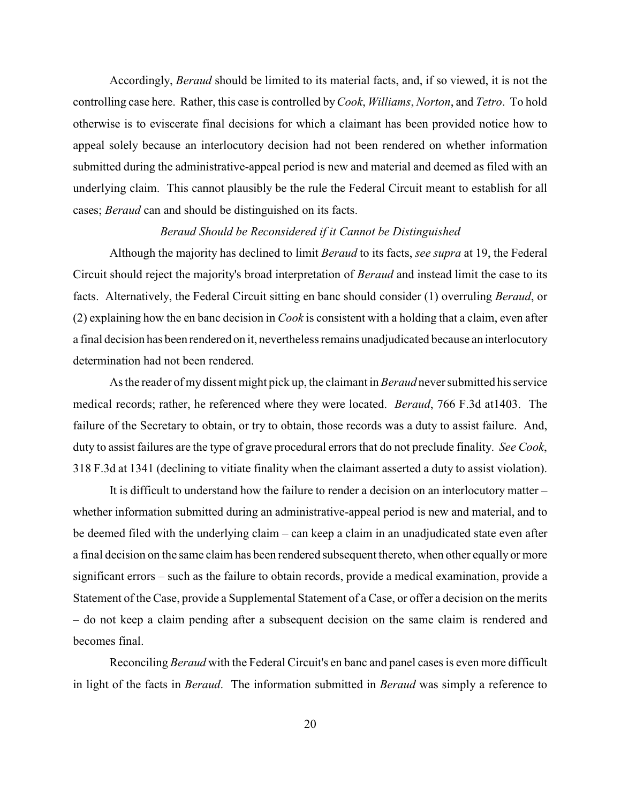Accordingly, *Beraud* should be limited to its material facts, and, if so viewed, it is not the controlling case here. Rather, this case is controlled by*Cook*, *Williams*, *Norton*, and *Tetro*. To hold otherwise is to eviscerate final decisions for which a claimant has been provided notice how to appeal solely because an interlocutory decision had not been rendered on whether information submitted during the administrative-appeal period is new and material and deemed as filed with an underlying claim. This cannot plausibly be the rule the Federal Circuit meant to establish for all cases; *Beraud* can and should be distinguished on its facts.

### *Beraud Should be Reconsidered if it Cannot be Distinguished*

Although the majority has declined to limit *Beraud* to its facts, *see supra* at 19, the Federal Circuit should reject the majority's broad interpretation of *Beraud* and instead limit the case to its facts. Alternatively, the Federal Circuit sitting en banc should consider (1) overruling *Beraud*, or (2) explaining how the en banc decision in *Cook* is consistent with a holding that a claim, even after a final decision has been rendered on it, nevertheless remains unadjudicated because an interlocutory determination had not been rendered.

As the reader of my dissent might pick up, the claimant in *Beraud* neversubmitted his service medical records; rather, he referenced where they were located. *Beraud*, 766 F.3d at1403. The failure of the Secretary to obtain, or try to obtain, those records was a duty to assist failure. And, duty to assist failures are the type of grave procedural errors that do not preclude finality. *See Cook*, 318 F.3d at 1341 (declining to vitiate finality when the claimant asserted a duty to assist violation).

It is difficult to understand how the failure to render a decision on an interlocutory matter – whether information submitted during an administrative-appeal period is new and material, and to be deemed filed with the underlying claim – can keep a claim in an unadjudicated state even after a final decision on the same claim has been rendered subsequent thereto, when other equally or more significant errors – such as the failure to obtain records, provide a medical examination, provide a Statement of the Case, provide a Supplemental Statement of a Case, or offer a decision on the merits – do not keep a claim pending after a subsequent decision on the same claim is rendered and becomes final.

Reconciling *Beraud* with the Federal Circuit's en banc and panel cases is even more difficult in light of the facts in *Beraud*. The information submitted in *Beraud* was simply a reference to